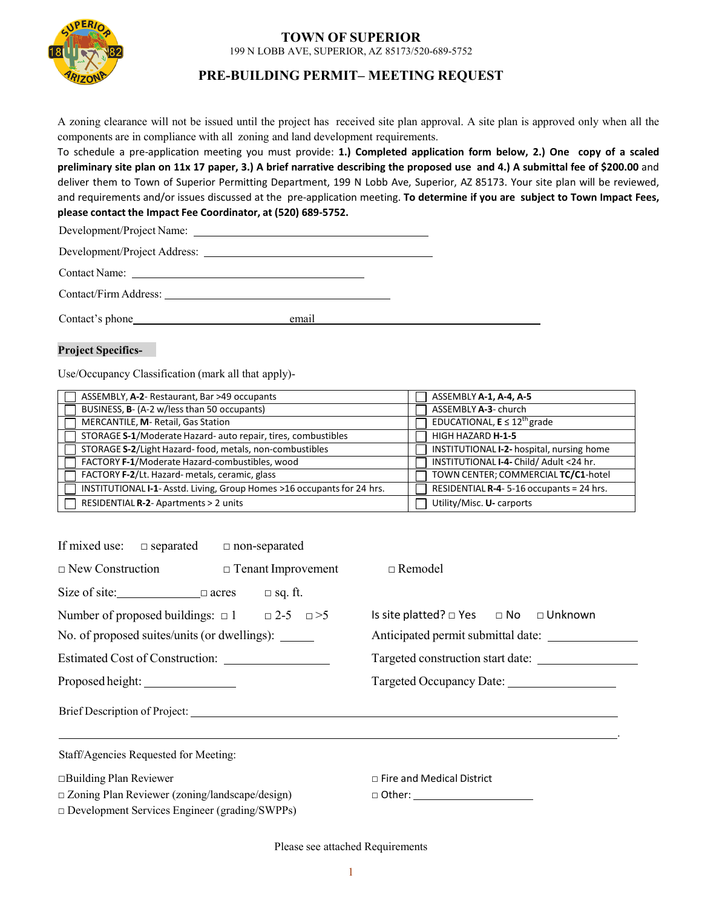

# **TOWN OF SUPERIOR**

199 N LOBB AVE, SUPERIOR, AZ 85173/520-689-5752

### **PRE-BUILDING PERMIT– MEETING REQUEST**

<sup>A</sup> zoning clearance will not be issued until the project has received site <sup>p</sup>lan approval. <sup>A</sup> site <sup>p</sup>lan is approved only when all the components are in compliance with all zoning and land development requirements.

To schedule a pre-application meeting you must provide: 1.) Completed application form below, 2.) One copy of a scaled preliminary site plan on 11x 17 paper, 3.) A brief narrative describing the proposed use and 4.) A submittal fee of \$200.00 and deliver them to Town of Superior Permitting Department, 199 N Lobb Ave, Superior, AZ 85173. Your site plan will be reviewed, and requirements and/or issues discussed at the pre-application meeting. To determine if you are subject to Town Impact Fees, **please contact the Impact Fee Coordinator, at (520) 689-5752.**

Development/Project Name:

Development/Project Address:

Contact Name:

Contact/Firm Address:

Contact's <sup>p</sup>hone email

#### **Project Specifics-**

Use/Occupancy Classification (mark all that apply)-

| ASSEMBLY, A-2- Restaurant, Bar >49 occupants                            | ASSEMBLY A-1, A-4, A-5                    |
|-------------------------------------------------------------------------|-------------------------------------------|
| BUSINESS, B- (A-2 w/less than 50 occupants)                             | ASSEMBLY A-3- church                      |
| MERCANTILE, M- Retail, Gas Station                                      | EDUCATIONAL, $E \le 12^{th}$ grade        |
| STORAGE S-1/Moderate Hazard- auto repair, tires, combustibles           | HIGH HAZARD <b>H-1-5</b>                  |
| STORAGE S-2/Light Hazard-food, metals, non-combustibles                 | INSTITUTIONAL I-2- hospital, nursing home |
| FACTORY F-1/Moderate Hazard-combustibles, wood                          | INSTITUTIONAL I-4- Child/ Adult <24 hr.   |
| FACTORY F-2/Lt. Hazard- metals, ceramic, glass                          | TOWN CENTER; COMMERCIAL TC/C1-hotel       |
| INSTITUTIONAL I-1- Asstd. Living, Group Homes >16 occupants for 24 hrs. | RESIDENTIAL R-4-5-16 occupants = 24 hrs.  |
| RESIDENTIAL R-2- Apartments > 2 units                                   | Utility/Misc. U- carports                 |

| If mixed use: $\Box$ separated $\Box$ non-separated         |                                                                                                                  |
|-------------------------------------------------------------|------------------------------------------------------------------------------------------------------------------|
| $\Box$ New Construction $\Box$ Tenant Improvement           | $\Box$ Remodel                                                                                                   |
| Size of site: $\Box$ $\Box$ acres $\Box$ sq. ft.            |                                                                                                                  |
| Number of proposed buildings: $\Box$ 1 $\Box$ 2-5 $\Box$ >5 | Is site platted? □ Yes □ No □ Unknown                                                                            |
| No. of proposed suites/units (or dwellings):                | Anticipated permit submittal date:                                                                               |
|                                                             | Targeted construction start date:                                                                                |
| Proposed height:                                            | Targeted Occupancy Date:                                                                                         |
|                                                             | Brief Description of Project:                                                                                    |
| Staff/Agencies Requested for Meeting:                       | and the control of the control of the control of the control of the control of the control of the control of the |
| $\Box$ Building Plan Reviewer                               | $\Box$ Fire and Medical District                                                                                 |
| $\Box$ Zoning Plan Reviewer (zoning/landscape/design)       |                                                                                                                  |
| $\Box$ Development Services Engineer (grading/SWPPs)        |                                                                                                                  |

Please see attached Requirements